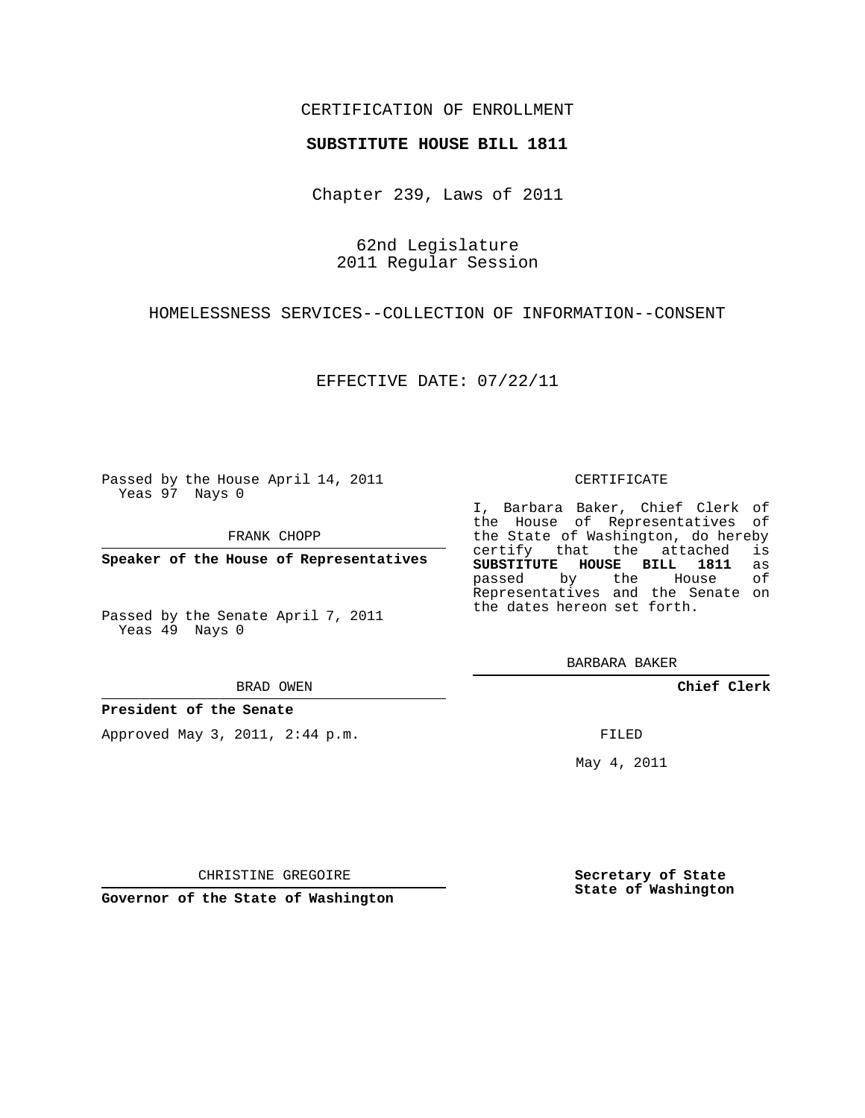## CERTIFICATION OF ENROLLMENT

## **SUBSTITUTE HOUSE BILL 1811**

Chapter 239, Laws of 2011

62nd Legislature 2011 Regular Session

HOMELESSNESS SERVICES--COLLECTION OF INFORMATION--CONSENT

EFFECTIVE DATE: 07/22/11

Passed by the House April 14, 2011 Yeas 97 Nays 0

FRANK CHOPP

**Speaker of the House of Representatives**

Passed by the Senate April 7, 2011 Yeas 49 Nays 0

**President of the Senate**

Approved May 3, 2011, 2:44 p.m.

## CERTIFICATE

I, Barbara Baker, Chief Clerk of the House of Representatives of the State of Washington, do hereby<br>certify that the attached is certify that the attached **SUBSTITUTE HOUSE BILL 1811** as Representatives and the Senate on the dates hereon set forth.

BARBARA BAKER

**Chief Clerk**

FILED

May 4, 2011

**Secretary of State State of Washington**

CHRISTINE GREGOIRE

**Governor of the State of Washington**

passed by the

BRAD OWEN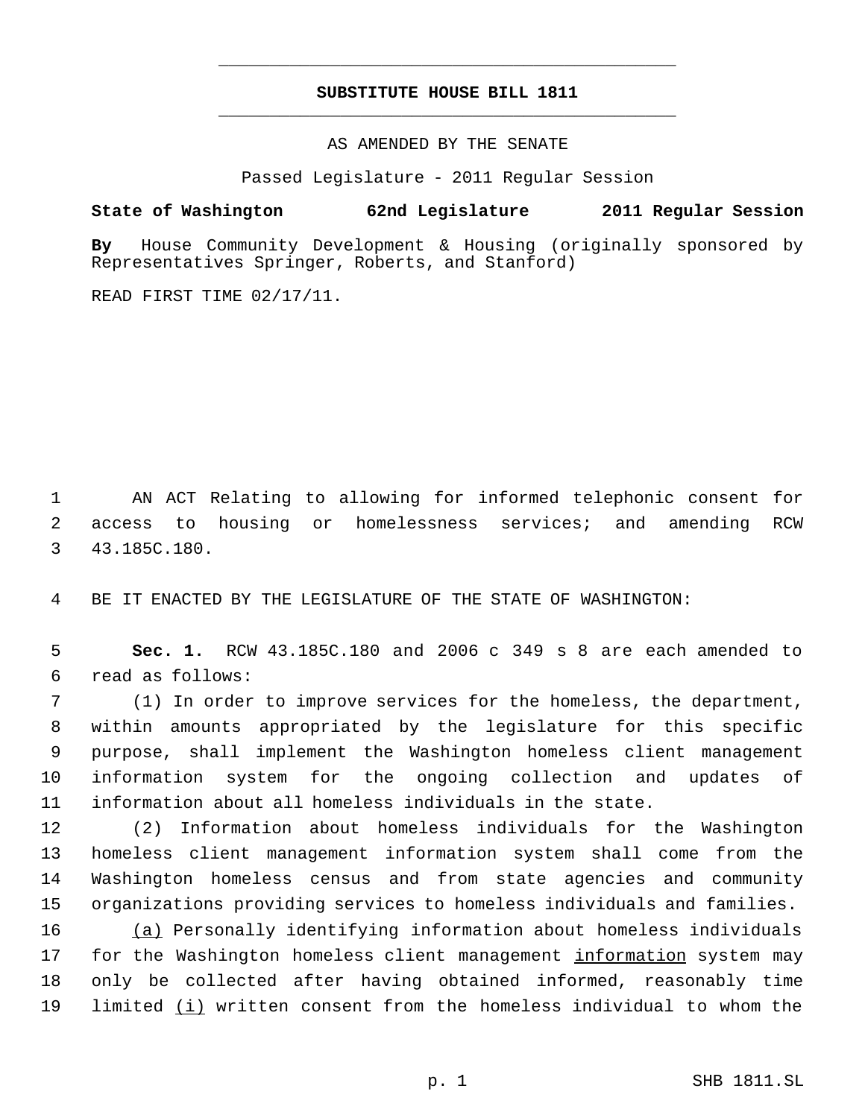## **SUBSTITUTE HOUSE BILL 1811** \_\_\_\_\_\_\_\_\_\_\_\_\_\_\_\_\_\_\_\_\_\_\_\_\_\_\_\_\_\_\_\_\_\_\_\_\_\_\_\_\_\_\_\_\_

\_\_\_\_\_\_\_\_\_\_\_\_\_\_\_\_\_\_\_\_\_\_\_\_\_\_\_\_\_\_\_\_\_\_\_\_\_\_\_\_\_\_\_\_\_

AS AMENDED BY THE SENATE

Passed Legislature - 2011 Regular Session

**State of Washington 62nd Legislature 2011 Regular Session**

**By** House Community Development & Housing (originally sponsored by Representatives Springer, Roberts, and Stanford)

READ FIRST TIME 02/17/11.

 AN ACT Relating to allowing for informed telephonic consent for access to housing or homelessness services; and amending RCW 43.185C.180.

BE IT ENACTED BY THE LEGISLATURE OF THE STATE OF WASHINGTON:

 **Sec. 1.** RCW 43.185C.180 and 2006 c 349 s 8 are each amended to read as follows:

 (1) In order to improve services for the homeless, the department, within amounts appropriated by the legislature for this specific purpose, shall implement the Washington homeless client management information system for the ongoing collection and updates of information about all homeless individuals in the state.

 (2) Information about homeless individuals for the Washington homeless client management information system shall come from the Washington homeless census and from state agencies and community organizations providing services to homeless individuals and families.

 (a) Personally identifying information about homeless individuals for the Washington homeless client management information system may only be collected after having obtained informed, reasonably time limited (i) written consent from the homeless individual to whom the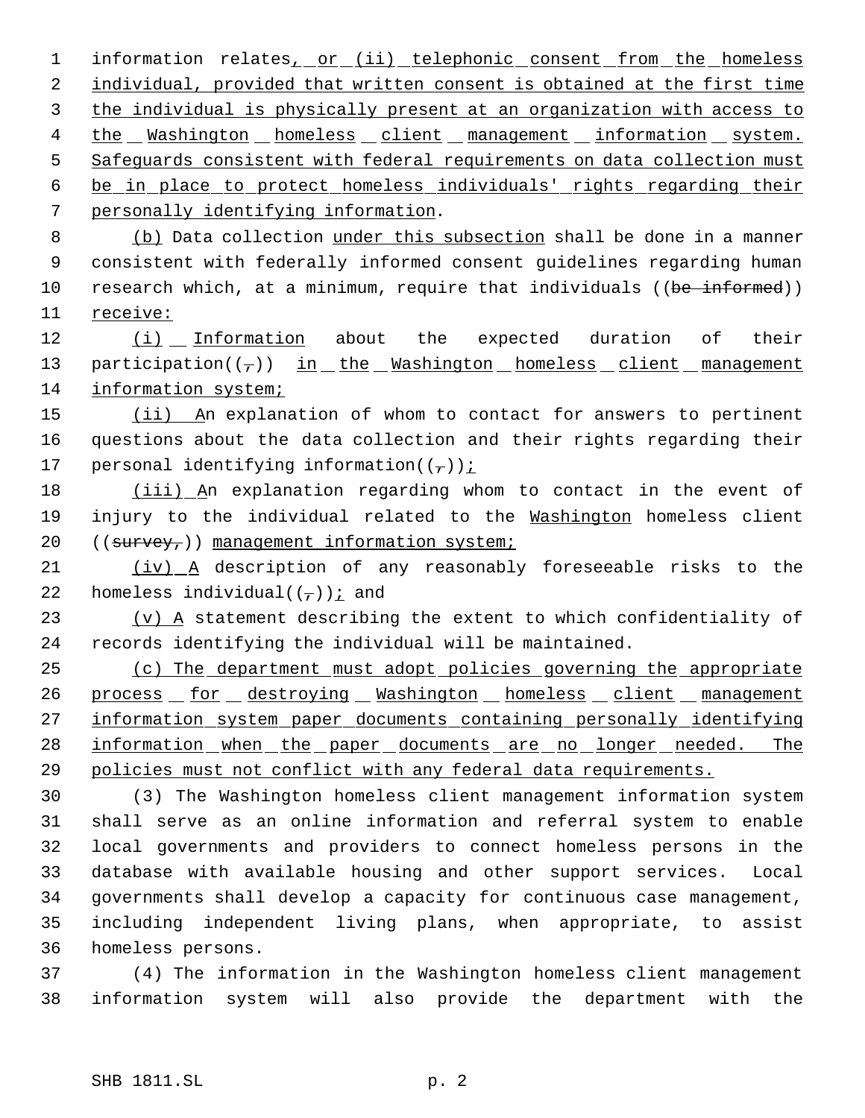1 information relates, or (ii) telephonic consent from the homeless 2 individual, provided that written consent is obtained at the first time 3 the individual is physically present at an organization with access to 4 the Washington homeless client management information system. 5 Safeguards consistent with federal requirements on data collection must 6 be in place to protect homeless individuals' rights regarding their 7 personally identifying information.

 8 (b) Data collection under this subsection shall be done in a manner 9 consistent with federally informed consent guidelines regarding human 10 research which, at a minimum, require that individuals ((be informed)) 11 receive:

12 (i) Information about the expected duration of their 13 participation( $(\tau)$ ) in the Washington homeless client management 14 information system;

15 (ii) An explanation of whom to contact for answers to pertinent 16 questions about the data collection and their rights regarding their 17 personal identifying information( $(\tau)$ ) *i* 

18 (iii) An explanation regarding whom to contact in the event of 19 injury to the individual related to the Washington homeless client 20  $((s_{\text{u} \cdot \text{v} + s_{\text{u}}))$  management information system;

21 (iv) A description of any reasonably foreseeable risks to the 22 homeless individual( $(\tau)$ ) *i* and

 $23$  (v) A statement describing the extent to which confidentiality of 24 records identifying the individual will be maintained.

25 (c) The department must adopt policies governing the appropriate 26 process for destroying Washington homeless client management 27 information system paper documents containing personally identifying 28 information when the paper documents are no longer needed. The 29 policies must not conflict with any federal data requirements.

 (3) The Washington homeless client management information system shall serve as an online information and referral system to enable local governments and providers to connect homeless persons in the database with available housing and other support services. Local governments shall develop a capacity for continuous case management, including independent living plans, when appropriate, to assist homeless persons.

37 (4) The information in the Washington homeless client management 38 information system will also provide the department with the